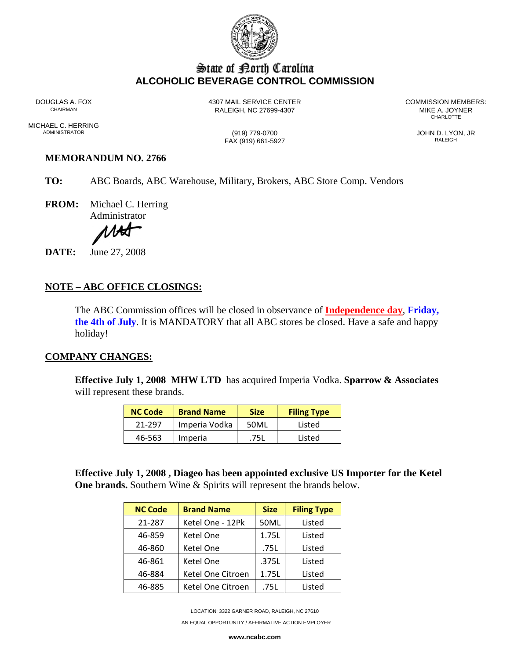

## State of Borth Carolina **ALCOHOLIC BEVERAGE CONTROL COMMISSION**

DOUGLAS A. FOX 4307 MAIL SERVICE CENTER COMMISSION MEMBERS: RALEIGH, NC 27699-4307 MIKE A. JOYNER **CHARLOTTE** 

MICHAEL C. HERRING<br>ADMINISTRATOR

FAX (919) 661-5927

ADMINISTRATOR (919) 779-0700 JOHN D. LYON, JR

## **MEMORANDUM NO. 2766**

- **TO:** ABC Boards, ABC Warehouse, Military, Brokers, ABC Store Comp. Vendors
- **FROM:** Michael C. Herring Administrator

1AA

**DATE:** June 27, 2008

## **NOTE – ABC OFFICE CLOSINGS:**

The ABC Commission offices will be closed in observance of **Independence day**, **Friday, the 4th of July**. It is MANDATORY that all ABC stores be closed. Have a safe and happy holiday!

## **COMPANY CHANGES:**

**Effective July 1, 2008 MHW LTD** has acquired Imperia Vodka. **Sparrow & Associates** will represent these brands.

| <b>NC Code</b> | <b>Brand Name</b> | <b>Size</b> | <b>Filing Type</b> |  |
|----------------|-------------------|-------------|--------------------|--|
| 21-297         | Imperia Vodka     | 50ML        | Listed             |  |
| 46-563         | Imperia           | 75I         | Listed             |  |

**Effective July 1, 2008 , Diageo has been appointed exclusive US Importer for the Ketel One brands.** Southern Wine & Spirits will represent the brands below.

| <b>NC Code</b> | <b>Brand Name</b> | <b>Size</b> | <b>Filing Type</b> |  |
|----------------|-------------------|-------------|--------------------|--|
| 21-287         | Ketel One - 12Pk  | 50ML        | Listed             |  |
| 46-859         | Ketel One         | 1.75L       | Listed             |  |
| 46-860         | Ketel One         | .75L        | Listed             |  |
| 46-861         | Ketel One         | .375L       | Listed             |  |
| 46-884         | Ketel One Citroen | 1.75L       | Listed             |  |
| 46-885         | Ketel One Citroen | .75L        | Listed             |  |

LOCATION: 3322 GARNER ROAD, RALEIGH, NC 27610

AN EQUAL OPPORTUNITY / AFFIRMATIVE ACTION EMPLOYER

**www.ncabc.com**